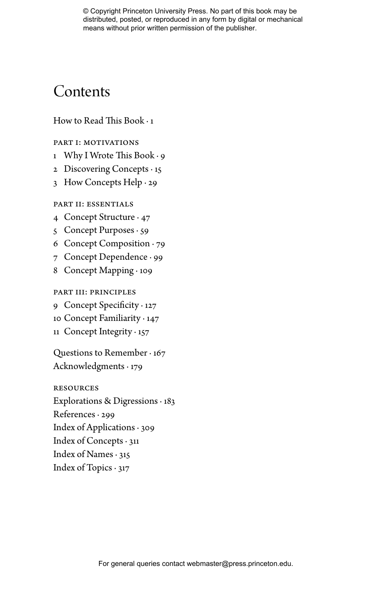# Contents

# How to Read This Book  $\cdot$  1

# Part I: motivations

- 1  $\,$  Why I Wrote This Book  $\cdot$  9  $\,$
- 2 Discovering Concepts · 15
- 3 How Concepts Help · 29

## PART II: ESSENTIALS

- 4 Concept Structure · 47
- 5 Concept Purposes · 59
- 6 Concept Composition · 79
- 7 Concept Dependence · 99
- 8 Concept Mapping · 109

# Part IiI: principles

- 9 Concept Specificity  $\cdot$  127
- 10 Concept Familiarity · 147
- 11 Concept Integrity · 157

Questions to Remember · 167 Acknowledgments · 179

resources

Explorations & Digressions · 183

References · 299

Index of Applications · 309

- Index of Concepts · 311
- Index of Names · 315
- Index of Topics  $\cdot$  317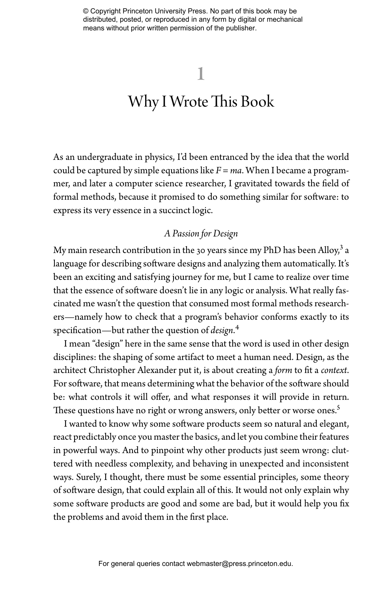# Why I Wrote This Book

As an undergraduate in physics, I'd been entranced by the idea that the world could be captured by simple equations like *F = ma*. When I became a programmer, and later a computer science researcher, I gravitated towards the field of formal methods, because it promised to do something similar for software: to express its very essence in a succinct logic.

# *A Passion for Design*

My main research contribution in the 30 years since my PhD has been Alloy, $^3$  a language for describing software designs and analyzing them automatically. It's been an exciting and satisfying journey for me, but I came to realize over time that the essence of software doesn't lie in any logic or analysis. What really fascinated me wasn't the question that consumed most formal methods researchers—namely how to check that a program's behavior conforms exactly to its specification—but rather the question of *design*.<sup>4</sup>

I mean "design" here in the same sense that the word is used in other design disciplines: the shaping of some artifact to meet a human need. Design, as the architect Christopher Alexander put it, is about creating a *form* to fit a *context*. For software, that means determining what the behavior of the software should be: what controls it will offer, and what responses it will provide in return. These questions have no right or wrong answers, only better or worse ones.<sup>5</sup>

I wanted to know why some software products seem so natural and elegant, react predictably once you master the basics, and let you combine their features in powerful ways. And to pinpoint why other products just seem wrong: cluttered with needless complexity, and behaving in unexpected and inconsistent ways. Surely, I thought, there must be some essential principles, some theory of software design, that could explain all of this. It would not only explain why some software products are good and some are bad, but it would help you fix the problems and avoid them in the first place.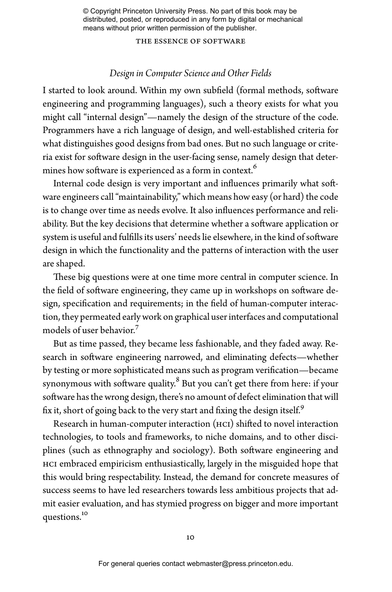the essence of software

## *Design in Computer Science and Other Fields*

I started to look around. Within my own subfield (formal methods, software engineering and programming languages), such a theory exists for what you might call "internal design"—namely the design of the structure of the code. Programmers have a rich language of design, and well-established criteria for what distinguishes good designs from bad ones. But no such language or criteria exist for software design in the user-facing sense, namely design that determines how software is experienced as a form in context.<sup>6</sup>

Internal code design is very important and influences primarily what software engineers call "maintainability," which means how easy (or hard) the code is to change over time as needs evolve. It also influences performance and reliability. But the key decisions that determine whether a software application or system is useful and fulfills its users' needs lie elsewhere, in the kind of software design in which the functionality and the patterns of interaction with the user are shaped.

These big questions were at one time more central in computer science. In the field of software engineering, they came up in workshops on software design, specification and requirements; in the field of human-computer interaction, they permeated early work on graphical user interfaces and computational models of user behavior.<sup>7</sup>

But as time passed, they became less fashionable, and they faded away. Research in software engineering narrowed, and eliminating defects—whether by testing or more sophisticated means such as program verification—became synonymous with software quality. $^8$  But you can't get there from here: if your software has the wrong design, there's no amount of defect elimination that will fix it, short of going back to the very start and fixing the design itself.<sup>9</sup>

Research in human-computer interaction  $(HCI)$  shifted to novel interaction technologies, to tools and frameworks, to niche domains, and to other disciplines (such as ethnography and sociology). Both software engineering and HCI embraced empiricism enthusiastically, largely in the misguided hope that this would bring respectability. Instead, the demand for concrete measures of success seems to have led researchers towards less ambitious projects that admit easier evaluation, and has stymied progress on bigger and more important questions.10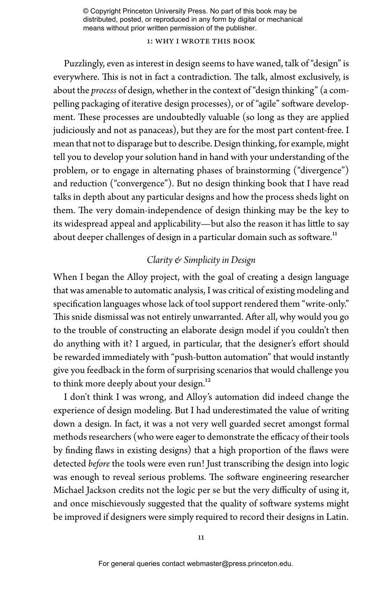## 1: why i wrote this book

Puzzlingly, even as interest in design seems to have waned, talk of "design" is everywhere. This is not in fact a contradiction. The talk, almost exclusively, is about the *process* of design, whether in the context of "design thinking" (a compelling packaging of iterative design processes), or of "agile" software development. These processes are undoubtedly valuable (so long as they are applied judiciously and not as panaceas), but they are for the most part content-free. I mean that not to disparage but to describe. Design thinking, for example, might tell you to develop your solution hand in hand with your understanding of the problem, or to engage in alternating phases of brainstorming ("divergence") and reduction ("convergence"). But no design thinking book that I have read talks in depth about any particular designs and how the process sheds light on them. The very domain-independence of design thinking may be the key to its widespread appeal and applicability—but also the reason it has little to say about deeper challenges of design in a particular domain such as software.<sup>11</sup>

## *Clarity & Simplicity in Design*

When I began the Alloy project, with the goal of creating a design language that was amenable to automatic analysis, I was critical of existing modeling and specification languages whose lack of tool support rendered them "write-only." This snide dismissal was not entirely unwarranted. After all, why would you go to the trouble of constructing an elaborate design model if you couldn't then do anything with it? I argued, in particular, that the designer's effort should be rewarded immediately with "push-button automation" that would instantly give you feedback in the form of surprising scenarios that would challenge you to think more deeply about your design.<sup>12</sup>

I don't think I was wrong, and Alloy's automation did indeed change the experience of design modeling. But I had underestimated the value of writing down a design. In fact, it was a not very well guarded secret amongst formal methods researchers (who were eager to demonstrate the efficacy of their tools by finding flaws in existing designs) that a high proportion of the flaws were detected *before* the tools were even run! Just transcribing the design into logic was enough to reveal serious problems. The software engineering researcher Michael Jackson credits not the logic per se but the very difficulty of using it, and once mischievously suggested that the quality of software systems might be improved if designers were simply required to record their designs in Latin.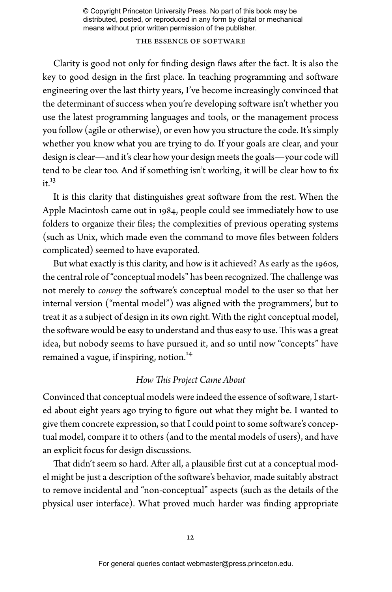### the essence of software

Clarity is good not only for finding design flaws after the fact. It is also the key to good design in the first place. In teaching programming and software engineering over the last thirty years, I've become increasingly convinced that the determinant of success when you're developing software isn't whether you use the latest programming languages and tools, or the management process you follow (agile or otherwise), or even how you structure the code. It's simply whether you know what you are trying to do. If your goals are clear, and your design is clear—and it's clear how your design meets the goals—your code will tend to be clear too. And if something isn't working, it will be clear how to fix  $it<sup>13</sup>$ 

It is this clarity that distinguishes great software from the rest. When the Apple Macintosh came out in 1984, people could see immediately how to use folders to organize their files; the complexities of previous operating systems (such as Unix, which made even the command to move files between folders complicated) seemed to have evaporated.

But what exactly is this clarity, and how is it achieved? As early as the 1960s, the central role of "conceptual models" has been recognized. The challenge was not merely to *convey* the software's conceptual model to the user so that her internal version ("mental model") was aligned with the programmers', but to treat it as a subject of design in its own right. With the right conceptual model, the software would be easy to understand and thus easy to use. This was a great idea, but nobody seems to have pursued it, and so until now "concepts" have remained a vague, if inspiring, notion.<sup>14</sup>

## *How This Project Came About*

Convinced that conceptual models were indeed the essence of software, I started about eight years ago trying to figure out what they might be. I wanted to give them concrete expression, so that I could point to some software's conceptual model, compare it to others (and to the mental models of users), and have an explicit focus for design discussions.

That didn't seem so hard. After all, a plausible first cut at a conceptual model might be just a description of the software's behavior, made suitably abstract to remove incidental and "non-conceptual" aspects (such as the details of the physical user interface). What proved much harder was finding appropriate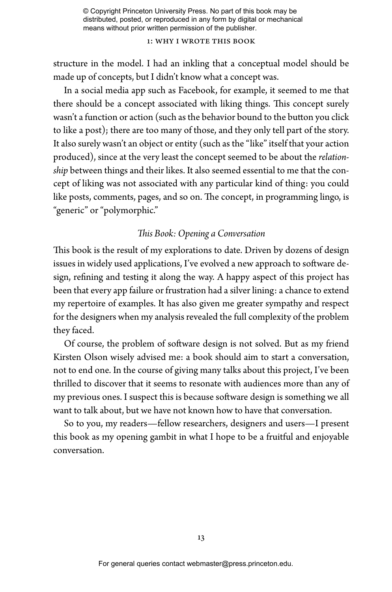### 1: why i wrote this book

structure in the model. I had an inkling that a conceptual model should be made up of concepts, but I didn't know what a concept was.

In a social media app such as Facebook, for example, it seemed to me that there should be a concept associated with liking things. This concept surely wasn't a function or action (such as the behavior bound to the button you click to like a post); there are too many of those, and they only tell part of the story. It also surely wasn't an object or entity (such as the "like" itself that your action produced), since at the very least the concept seemed to be about the *relationship* between things and their likes. It also seemed essential to me that the concept of liking was not associated with any particular kind of thing: you could like posts, comments, pages, and so on. The concept, in programming lingo, is "generic" or "polymorphic."

# *is Book: Opening a Conversation*

This book is the result of my explorations to date. Driven by dozens of design issues in widely used applications, I've evolved a new approach to software design, refining and testing it along the way. A happy aspect of this project has been that every app failure or frustration had a silver lining: a chance to extend my repertoire of examples. It has also given me greater sympathy and respect for the designers when my analysis revealed the full complexity of the problem they faced.

Of course, the problem of software design is not solved. But as my friend Kirsten Olson wisely advised me: a book should aim to start a conversation, not to end one. In the course of giving many talks about this project, I've been thrilled to discover that it seems to resonate with audiences more than any of my previous ones. I suspect this is because software design is something we all want to talk about, but we have not known how to have that conversation.

So to you, my readers—fellow researchers, designers and users—I present this book as my opening gambit in what I hope to be a fruitful and enjoyable conversation.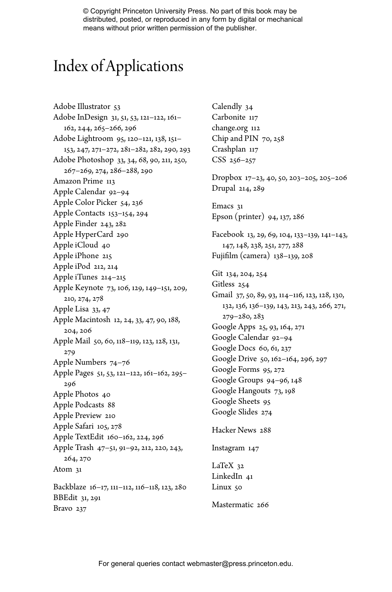# Index of Applications

Adobe Illustrator 53 Adobe InDesign 31, 51, 53, 121–122, 161– 162, 244, 265–266, 296 Adobe Lightroom 95, 120–121, 138, 151– 153, 247, 271–272, 281–282, 282, 290, 293 Adobe Photoshop 33, 34, 68, 90, 211, 250, 267–269, 274, 286–288, 290 Amazon Prime 113 Apple Calendar 92–94 Apple Color Picker 54, 236 Apple Contacts 153–154, 294 Apple Finder 243, 282 Apple HyperCard 290 Apple iCloud 40 Apple iPhone 215 Apple iPod 212, 214 Apple iTunes 214–215 Apple Keynote 73, 106, 129, 149–151, 209, 210, 274, 278 Apple Lisa 33, 47 Apple Macintosh 12, 24, 33, 47, 90, 188, 204, 206 Apple Mail 50, 60, 118–119, 123, 128, 131, 279 Apple Numbers 74–76 Apple Pages 51, 53, 121–122, 161–162, 295– 296 Apple Photos 40 Apple Podcasts 88 Apple Preview 210 Apple Safari 105, 278 Apple TextEdit 160–162, 224, 296 Apple Trash 47–51, 91–92, 212, 220, 243, 264, 270 Atom 31 Backblaze 16–17, 111–112, 116–118, 123, 280 BBEdit 31, 291 Bravo 237

Calendly 34 Carbonite 117 change.org 112 Chip and PIN 70, 258 Crashplan 117 CSS 256–257 Dropbox 17–23, 40, 50, 203–205, 205–206 Drupal 214, 289 Emacs 31 Epson (printer) 94, 137, 286 Facebook 13, 29, 69, 104, 133–139, 141–143, 147, 148, 238, 251, 277, 288 Fujilm (camera) 138–139, 208 Git 134, 204, 254 Gitless 254 Gmail 37, 50, 89, 93, 114–116, 123, 128, 130, 132, 136, 136–139, 143, 213, 243, 266, 271, 279–280, 283 Google Apps 25, 93, 164, 271 Google Calendar 92–94 Google Docs 60, 61, 237 Google Drive 50, 162–164, 296, 297 Google Forms 95, 272 Google Groups 94–96, 148 Google Hangouts 73, 198 Google Sheets 95 Google Slides 274 Hacker News 288 Instagram 147 LaTeX 32 LinkedIn 41 Linux 50 Mastermatic 266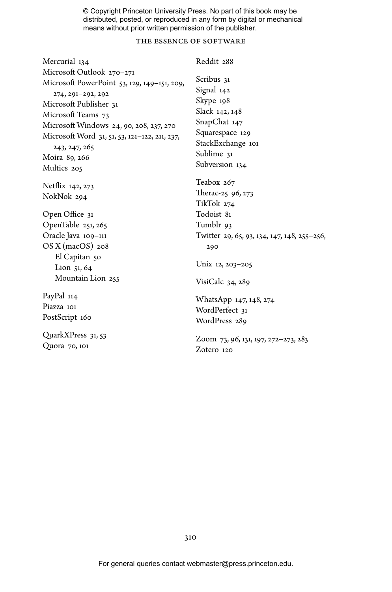## the essence of software

| Mercurial 134                                 | Reddit 288                                  |
|-----------------------------------------------|---------------------------------------------|
| Microsoft Outlook 270-271                     |                                             |
| Microsoft PowerPoint 53, 129, 149-151, 209,   | Scribus 31                                  |
| 274, 291-292, 292                             | Signal 142<br>Skype 198                     |
| Microsoft Publisher 31                        | Slack 142, 148                              |
| Microsoft Teams 73                            | SnapChat 147                                |
| Microsoft Windows 24, 90, 208, 237, 270       | Squarespace 129                             |
| Microsoft Word 31, 51, 53, 121-122, 211, 237, | StackExchange 101                           |
| 243, 247, 265<br>Moira 89, 266                | Sublime 31                                  |
| Multics 205                                   | Subversion 134                              |
|                                               |                                             |
| Netflix 142, 273                              | Teabox 267                                  |
| NokNok 294                                    | Therac-25 96, 273<br>TikTok 274             |
|                                               | Todoist 81                                  |
| Open Office 31<br>OpenTable 251, 265          | Tumblr 93                                   |
| Oracle Java 109–111                           | Twitter 29, 65, 93, 134, 147, 148, 255–256, |
| $OSX$ (macOS) 208                             | 290                                         |
| El Capitan 50                                 |                                             |
| Lion 51, 64                                   | Unix 12, 203–205                            |
| Mountain Lion 255                             | VisiCalc 34, 289                            |
| PayPal 114                                    | WhatsApp 147, 148, 274                      |
| Piazza 101                                    | WordPerfect 31                              |
| PostScript 160                                | WordPress 289                               |
| QuarkXPress 31, 53                            |                                             |
| Quora 70, 101                                 | Zoom 73, 96, 131, 197, 272–273, 283         |
|                                               | Zotero 120                                  |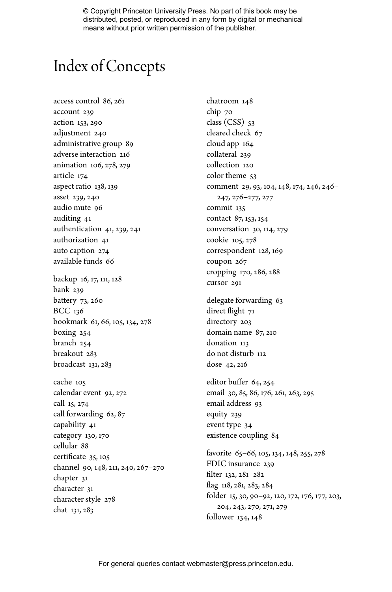# Index of Concepts

access control 86, 261 account 239 action 153, 290 adjustment 240 administrative group 89 adverse interaction 216 animation 106, 278, 279 article 174 aspect ratio 138, 139 asset 239, 240 audio mute 96 auditing 41 authentication 41, 239, 241 authorization 41 auto caption 274 available funds 66 backup 16, 17, 111, 128

bank 239 battery 73, 260 BCC 136 bookmark 61, 66, 105, 134, 278 boxing 254 branch 254 breakout 283 broadcast 131, 283

cache 105 calendar event 92, 272 call 15, 274 call forwarding 62, 87 capability 41 category 130, 170 cellular 88 certi cate 35, 105 channel 90, 148, 211, 240, 267 –270 chapter 31 character 31 character style 278 chat 131, 283

chatroom 148 chip 70 class  $(CSS)$  53 cleared check 67 cloud app 164 collateral 239 collection 120 color theme 53 comment 29, 93, 104, 148, 174, 246, 246 – 247, 276 –277, 277 commit 135 contact 87, 153, 154 conversation 30, 114, 279 cookie 105, 278 correspondent 128, 169 coupon 267 cropping 170, 286, 288 cursor 291 delegate forwarding 63 direct ight 71 directory 203 domain name 87, 210 donation 113 do not disturb 112 dose 42, 216 editor buffer 64, 254 email 30, 85, 86, 176, 261, 263, 295 email address 93 equity 239 event type 34 existence coupling 84 favorite 65 –66, 105, 134, 148, 255, 278 FDIC insurance 239 filter 132, 281–282 ag 118, 281, 283, 284 folder 15, 30, 90 –92, 120, 172, 176, 177, 203, 204, 243, 270, 271, 279 follower 134, 148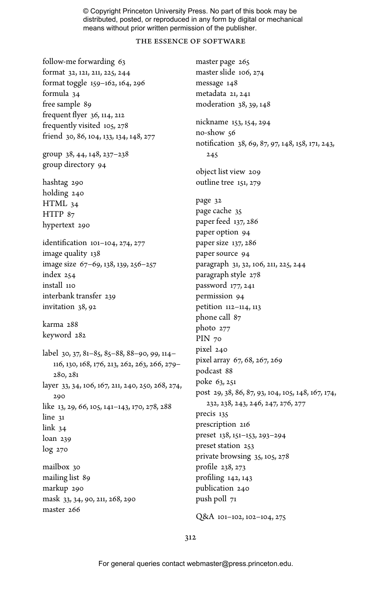### the essence of software

follow-me forwarding 63 format 32, 121, 211, 225, 244 format toggle 159–162, 164, 296 formula 34 free sample 89 frequent flyer  $36$ ,  $114$ ,  $212$ frequently visited 105, 278 friend 30, 86, 104, 133, 134, 148, 277 group 38, 44, 148, 237–238 group directory 94 hashtag 290 holding 240 HTML 34 HTTP  $87$ hypertext 290 identification 101-104, 274, 277 image quality 138 image size 67–69, 138, 139, 256–257 index 254 install 110 interbank transfer 239 invitation 38, 92 karma 288 keyword 282 label 30, 37, 81–85, 85–88, 88–90, 99, 114– 116, 130, 168, 176, 213, 262, 263, 266, 279– 280, 281 layer 33, 34, 106, 167, 211, 240, 250, 268, 274, 290 like 13, 29, 66, 105, 141–143, 170, 278, 288 line 31 link 34 loan 239 log 270 mailbox 30 mailing list 89 markup 290 mask 33, 34, 90, 211, 268, 290 master 266

master page 265 master slide 106, 274 message 148 metadata 21, 241 moderation 38, 39, 148 nickname 153, 154, 294 no-show 56 notification 38, 69, 87, 97, 148, 158, 171, 243, 245 object list view 209 outline tree 151, 279 page 32 page cache 35 paper feed 137, 286 paper option 94 paper size 137, 286 paper source 94 paragraph 31, 32, 106, 211, 225, 244 paragraph style 278 password 177, 241 permission 94 petition 112–114, 113 phone call 87 photo 277 PIN 70 pixel 240 pixel array 67, 68, 267, 269 podcast 88 poke 63, 251 post 29, 38, 86, 87, 93, 104, 105, 148, 167, 174, 232, 238, 243, 246, 247, 276, 277 precis 135 prescription 216 preset 138, 151–153, 293–294 preset station 253 private browsing 35, 105, 278 profile 238, 273 profiling 142, 143 publication 240 push poll 71

Q&A 101–102, 102–104, 275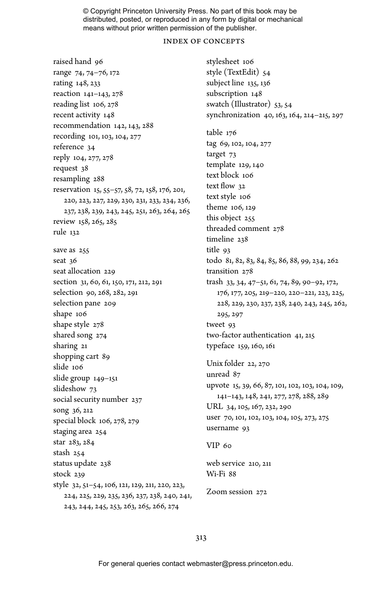### index of concepts

raised hand 96 range 74, 74–76, 172 rating 148, 233 reaction 141–143, 278 reading list 106, 278 recent activity 148 recommendation 142, 143, 288 recording 101, 103, 104, 277 reference 34 reply 104, 277, 278 request 38 resampling 288 reservation 15, 55–57, 58, 72, 158, 176, 201, 220, 223, 227, 229, 230, 231, 233, 234, 236, 237, 238, 239, 243, 245, 251, 263, 264, 265 review 158, 265, 285 rule 132 save as 255 seat 36 seat allocation 229 section 31, 60, 61, 150, 171, 212, 291 selection 90, 268, 282, 291 selection pane 209 shape 106 shape style 278 shared song 274 sharing 21 shopping cart 89 slide 106 slide group 149–151 slideshow 73 social security number 237 song 36, 212 special block 106, 278, 279 staging area 254 star 283, 284 stash 254 status update 238 stock 239 style 32, 51–54, 106, 121, 129, 211, 220, 223, 224, 225, 229, 235, 236, 237, 238, 240, 241, 243, 244, 245, 253, 263, 265, 266, 274

stylesheet 106 style (TextEdit) 54 subject line 135, 136 subscription 148 swatch (Illustrator) 53, 54 synchronization 40, 163, 164, 214–215, 297 table 176 tag 69, 102, 104, 277 target 73 template 129, 140 text block 106 text flow 32 text style 106 theme 106, 129 this object 255 threaded comment 278 timeline 238 title 93 todo 81, 82, 83, 84, 85, 86, 88, 99, 234, 262 transition 278 trash 33, 34, 47–51, 61, 74, 89, 90–92, 172, 176, 177, 205, 219–220, 220–221, 223, 225, 228, 229, 230, 237, 238, 240, 243, 245, 262, 295, 297 tweet 93 two-factor authentication 41, 215 typeface 159, 160, 161 Unix folder 22, 270 unread 87 upvote 15, 39, 66, 87, 101, 102, 103, 104, 109, 141–143, 148, 241, 277, 278, 288, 289 URL 34, 105, 167, 232, 290 user 70, 101, 102, 103, 104, 105, 273, 275 username 93  $VIP$  60 web service 210, 211

Wi-Fi 88

Zoom session 272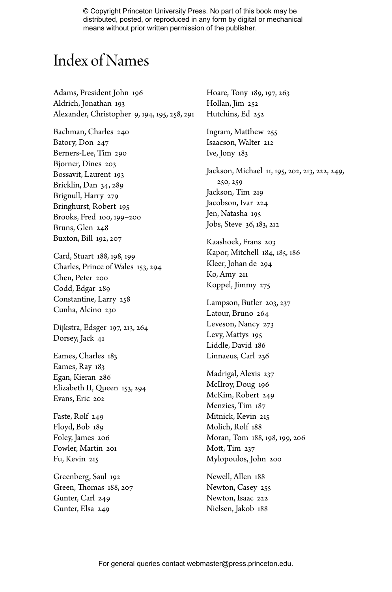# Index of Names

Adams, President John 196 Aldrich, Jonathan 193 Alexander, Christopher 9, 194, 195, 258, 291

Bachman, Charles 240 Batory, Don 247 Berners-Lee, Tim 290 Bjorner, Dines 203 Bossavit, Laurent 193 Bricklin, Dan 34, 289 Brignull, Harry 279 Bringhurst, Robert 195 Brooks, Fred 100, 199–200 Bruns, Glen 248 Buxton, Bill 192, 207

Card, Stuart 188, 198, 199 Charles, Prince of Wales 153, 294 Chen, Peter 200 Codd, Edgar 289 Constantine, Larry 258 Cunha, Alcino 230

Dijkstra, Edsger 197, 213, 264 Dorsey, Jack 41

Eames, Charles 183 Eames, Ray 183 Egan, Kieran 286 Elizabeth II, Queen 153, 294 Evans, Eric 202

Faste, Rolf 249 Floyd, Bob 189 Foley, James 206 Fowler, Martin 201 Fu, Kevin 215

Greenberg, Saul 192 Green, Thomas 188, 207 Gunter, Carl 249 Gunter, Elsa 249

Hoare, Tony 189, 197, 263 Hollan, Jim 252 Hutchins, Ed 252 Ingram, Matthew 255 Isaacson, Walter 212 Ive, Jony 183 Jackson, Michael 11, 195, 202, 213, 222, 249, 250, 259 Jackson, Tim 219 Jacobson, Ivar 224 Jen, Natasha 195 Jobs, Steve 36, 183, 212 Kaashoek, Frans 203 Kapor, Mitchell 184, 185, 186 Kleer, Johan de 294 Ko, Amy 211 Koppel, Jimmy 275 Lampson, Butler 203, 237 Latour, Bruno 264 Leveson, Nancy 273 Levy, Mattys 195 Liddle, David 186 Linnaeus, Carl 236 Madrigal, Alexis 237 McIlroy, Doug 196 McKim, Robert 249 Menzies, Tim 187 Mitnick, Kevin 215 Molich, Rolf 188 Moran, Tom 188, 198, 199, 206 Mott, Tim 237 Mylopoulos, John 200 Newell, Allen 188 Newton, Casey 255

Newton, Isaac 222 Nielsen, Jakob 188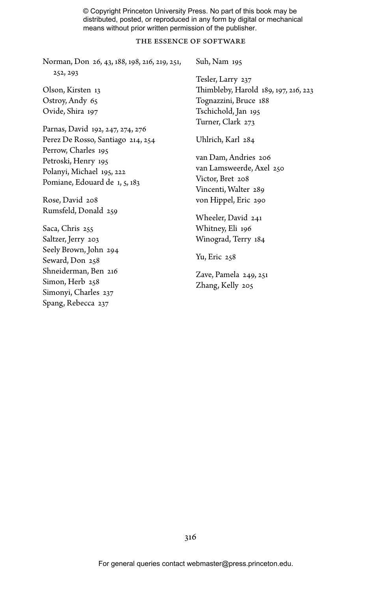### the essence of software

Norman, Don 26, 43, 188, 198, 216, 219, 251, 252, 293 Olson, Kirsten 13 Ostroy, Andy 65 Ovide, Shira 197 Parnas, David 192, 247, 274, 276 Perez De Rosso, Santiago 214, 254 Perrow, Charles 195 Petroski, Henry 195 Polanyi, Michael 195, 222 Pomiane, Edouard de 1, 5, 183 Rose, David 208 Rumsfeld, Donald 259 Saca, Chris 255 Saltzer, Jerry 203 Seely Brown, John 294 Seward, Don 258 Shneiderman, Ben 216 Simon, Herb 258 Suh, Nam 195 Tesler, Larry 237 Thimbleby, Harold 189, 197, 216, 223 Tognazzini, Bruce 188 Tschichold, Jan 195 Turner, Clark 273 Uhlrich, Karl 284 van Dam, Andries 206 van Lamsweerde, Axel 250 Victor, Bret 208 Vincenti, Walter 289 von Hippel, Eric 290 Wheeler, David 241 Whitney, Eli 196 Winograd, Terry 184 Yu, Eric 258 Zave, Pamela 249, 251

Zhang, Kelly 205

Simonyi, Charles 237 Spang, Rebecca 237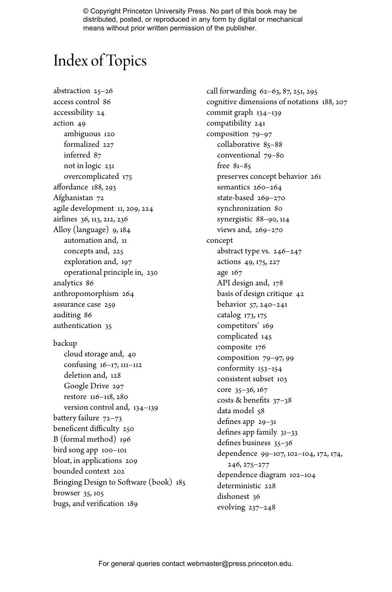# Index of Topics

abstraction 25–26 access control 86 accessibility 24 action 49 ambiguous 120 formalized 227 inferred 87 not in logic 231 overcomplicated 175 affordance 188, 293 Afghanistan 72 agile development 11, 209, 224 airlines 36, 113, 212, 236 Alloy (language) 9, 184 automation and, 11 concepts and, 225 exploration and, 197 operational principle in, 230 analytics 86 anthropomorphism 264 assurance case 259 auditing 86 authentication 35 backup cloud storage and, 40 confusing 16–17, 111–112 deletion and, 128 Google Drive 297 restore 116–118, 280 version control and, 134–139 battery failure  $72-73$ beneficent difficulty 250 B (formal method) 196 bird song app 100–101 bloat, in applications 209 bounded context 202 Bringing Design to Software (book) 185 browser 35, 105 bugs, and verification 189

call forwarding 62–63, 87, 251, 295 cognitive dimensions of notations 188, 207 commit graph 134–139 compatibility 241 composition 79–97 collaborative 85–88 conventional 79–80 free 81–85 preserves concept behavior 261 semantics 260-264 state-based 269–270 synchronization 80 synergistic 88–90, 114 views and, 269–270 concept abstract type vs. 246–247 actions 49, 175, 227 age 167 API design and, 178 basis of design critique 42 behavior 57, 240–241 catalog 173, 175 competitors' 169 complicated 145 composite 176 composition 79–97, 99 conformity 153–154 consistent subset 103 core 35–36, 167 costs & benefits  $37-38$ data model 58 defines app 29-31 defines app family  $31-33$ defines business 35-36 dependence 99–107, 102–104, 172, 174, 246, 275–277 dependence diagram 102–104 deterministic 228 dishonest 36 evolving 237–248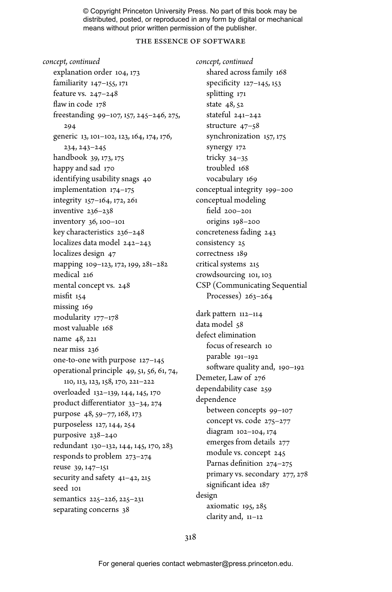### the essence of software

*concept, continued* explanation order 104, 173 familiarity 147–155, 171 feature vs. 247–248 flaw in code 178 freestanding 99–107, 157, 245–246, 275, 294 generic 13, 101–102, 123, 164, 174, 176, 234, 243–245 handbook 39, 173, 175 happy and sad 170 identifying usability snags 40 implementation 174–175 integrity 157–164, 172, 261 inventive 236–238 inventory 36, 100–101 key characteristics 236–248 localizes data model 242–243 localizes design 47 mapping 109–123, 172, 199, 281–282 medical 216 mental concept vs. 248 misfit 154 missing 169 modularity 177–178 most valuable 168 name 48, 221 near miss 236 one-to-one with purpose 127–145 operational principle 49, 51, 56, 61, 74, 110, 113, 123, 158, 170, 221–222 overloaded 132–139, 144, 145, 170 product differentiator 33-34, 274 purpose 48, 59–77, 168, 173 purposeless 127, 144, 254 purposive 238–240 redundant 130–132, 144, 145, 170, 283 responds to problem 273–274 reuse 39, 147–151 security and safety 41–42, 215 seed 101 semantics 225–226, 225–231 separating concerns 38

*concept, continued* shared across family 168 specificity 127-145, 153 splitting 171 state 48, 52 stateful 241–242 structure 47–58 synchronization 157, 175 synergy 172 tricky 34–35 troubled 168 vocabulary 169 conceptual integrity 199–200 conceptual modeling field 200-201 origins 198–200 concreteness fading 243 consistency 25 correctness 189 critical systems 215 crowdsourcing 101, 103 CSP (Communicating Sequential Processes) 263–264 dark pattern 112-114 data model 58 defect elimination focus of research 10 parable 191–192 software quality and, 190-192 Demeter, Law of 276 dependability case 259 dependence between concepts 99–107 concept vs. code 275–277 diagram 102–104, 174 emerges from details 277 module vs. concept 245 Parnas definition 274-275

primary vs. secondary 277, 278 significant idea 187 design

axiomatic 195, 285 clarity and, 11–12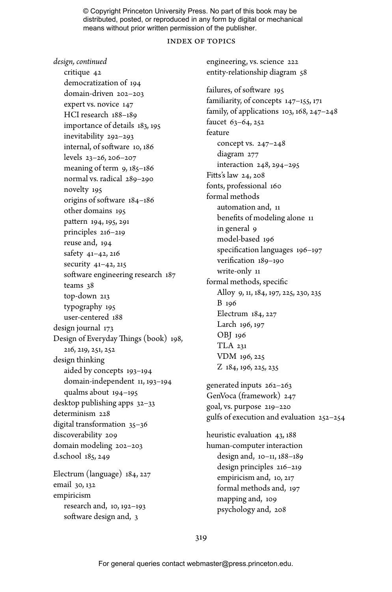### index of topics

engineering, vs. science 222

*design, continued* critique 42 democratization of 194 domain-driven 202–203 expert vs. novice 147 HCI research 188–189 importance of details 183, 195 inevitability 292–293 internal, of software 10, 186 levels 23–26, 206–207 meaning of term 9, 185-186 normal vs. radical 289–290 novelty 195 origins of software  $184-186$ other domains 195 pattern 194, 195, 291 principles 216–219 reuse and, 194 safety 41–42, 216 security 41–42, 215 software engineering research 187 teams 38 top-down 213 typography 195 user-centered 188 design journal 173 Design of Everyday Things (book) 198, 216, 219, 251, 252 design thinking aided by concepts 193–194 domain-independent 11, 193–194 qualms about 194–195 desktop publishing apps 32–33 determinism 228 digital transformation 35–36 discoverability 209 domain modeling 202–203 d.school 185, 249 Electrum (language) 184, 227 email 30, 132 empiricism research and, 10, 192–193 software design and, 3

entity-relationship diagram 58 failures, of software 195 familiarity, of concepts 147–155, 171 family, of applications 103, 168, 247–248 faucet 63–64, 252 feature concept vs. 247–248 diagram 277 interaction 248, 294–295 Fitts's law 24, 208 fonts, professional 160 formal methods automation and, 11 benefits of modeling alone 11 in general 9 model-based 196 specification languages 196-197 verification 189-190 write-only 11 formal methods, specific Alloy 9, 11, 184, 197, 225, 230, 235 B 196 Electrum 184, 227 Larch 196, 197 OBJ 196 TLA 231 VDM 196, 225 Z 184, 196, 225, 235 generated inputs 262–263 GenVoca (framework) 247 goal, vs. purpose 219–220 gulfs of execution and evaluation 252–254 heuristic evaluation 43, 188 human-computer interaction design and, 10–11, 188–189 design principles 216–219 empiricism and, 10, 217 formal methods and, 197 mapping and, 109 psychology and, 208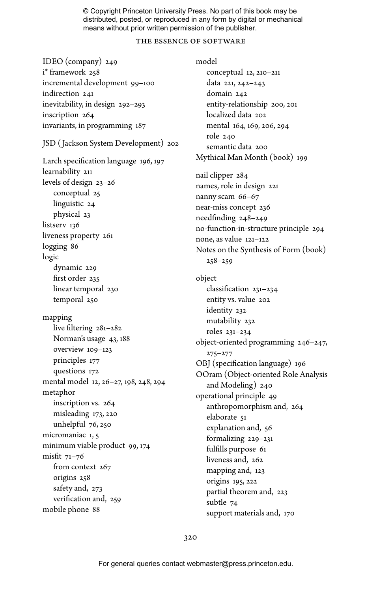### the essence of software

IDEO (company) 249 i\* framework 258 incremental development 99–100 indirection 241 inevitability, in design 292–293 inscription 264 invariants, in programming 187 JSD ( Jackson System Development) 202 Larch specification language 196, 197 learnability 211 levels of design 23–26 conceptual 25 linguistic 24 physical 23 listserv 136 liveness property 261 logging 86 logic dynamic 229 first order 235 linear temporal 230 temporal 250 mapping live filtering  $281-282$ Norman's usage 43, 188 overview 109–123 principles 177 questions 172 mental model 12, 26–27, 198, 248, 294 metaphor inscription vs. 264 misleading 173, 220 unhelpful 76, 250 micromaniac 1, 5 minimum viable product 99, 174 misfit  $71-76$ from context 267 origins 258 safety and, 273 verification and, 259 mobile phone 88

model conceptual 12, 210–211 data 221, 242–243 domain 242 entity-relationship 200, 201 localized data 202 mental 164, 169, 206, 294 role 240 semantic data 200 Mythical Man Month (book) 199 nail clipper 284 names, role in design 221 nanny scam 66–67 near-miss concept 236 needfinding 248-249 no-function-in-structure principle 294 none, as value 121–122 Notes on the Synthesis of Form (book) 258–259 object classification 231-234 entity vs. value 202 identity 232 mutability 232 roles 231–234 object-oriented programming 246–247, 275–277 OBJ (specification language) 196 OOram (Object-oriented Role Analysis and Modeling) 240 operational principle 49 anthropomorphism and, 264 elaborate 51 explanation and, 56 formalizing 229–231 fulfills purpose 61 liveness and, 262 mapping and, 123 origins 195, 222 partial theorem and, 223 subtle 74 support materials and, 170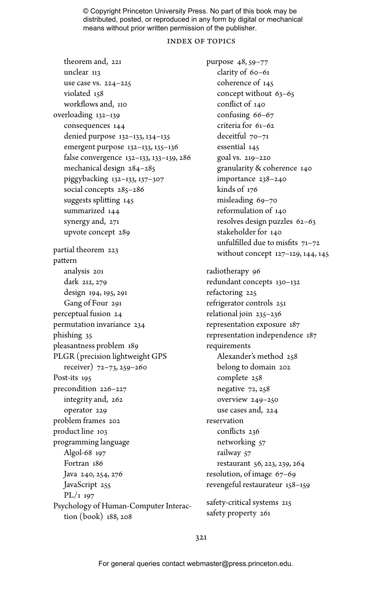#### index of topics

theorem and, 221 unclear 113 use case vs. 224–225 violated 158 workflows and, 110 overloading 132–139 consequences 144 denied purpose 132–133, 134–135 emergent purpose 132–133, 135–136 false convergence 132–133, 133–139, 286 mechanical design 284–285 piggybacking 132–133, 137–307 social concepts 285–286 suggests splitting 145 summarized 144 synergy and, 271 upvote concept 289 partial theorem 223 pattern analysis 201 dark 212, 279 design 194, 195, 291 Gang of Four 291 perceptual fusion 24 permutation invariance 234 phishing 35 pleasantness problem 189 PLGR (precision lightweight GPS receiver) 72–73, 259–260 Post-its 195 precondition 226–227 integrity and, 262 operator 229 problem frames 202 product line 103 programming language Algol-68 197 Fortran 186 Java 240, 254, 276 JavaScript 255 PL/1 197 Psychology of Human-Computer Interaction (book) 188, 208

purpose 48, 59–77 clarity of 60–61 coherence of 145 concept without 63–65 conflict of 140 confusing 66–67 criteria for 61–62 deceitful 70–71 essential 145 goal vs. 219–220 granularity & coherence 140 importance 238–240 kinds of 176 misleading 69–70 reformulation of 140 resolves design puzzles 62–63 stakeholder for 140 unfulfilled due to misfits  $71 - 72$ without concept 127–129, 144, 145 radiotherapy 96 redundant concepts 130–132 refactoring 225 refrigerator controls 251 relational join 235–236 representation exposure 187 representation independence 187 requirements Alexander's method 258 belong to domain 202 complete 258 negative 72, 258 overview 249–250 use cases and, 224 reservation conflicts 236 networking 57 railway 57 restaurant 56, 223, 239, 264 resolution, of image 67–69 revengeful restaurateur 158–159 safety-critical systems 215 safety property 261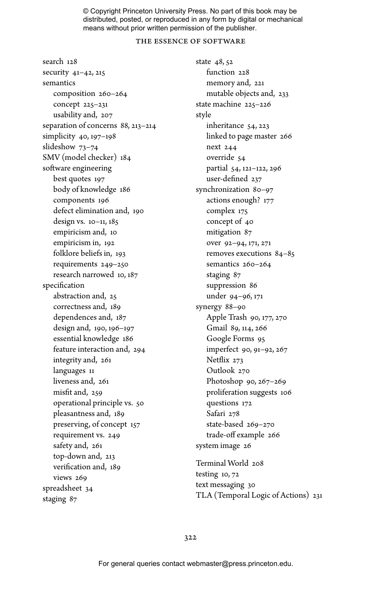### the essence of software

search 128 security 41–42, 215 semantics composition 260–264 concept 225–231 usability and, 207 separation of concerns 88, 213–214 simplicity 40, 197–198 slideshow 73–74 SMV (model checker) 184 software engineering best quotes 197 body of knowledge 186 components 196 defect elimination and, 190 design vs. 10–11, 185 empiricism and, 10 empiricism in, 192 folklore beliefs in, 193 requirements 249–250 research narrowed 10, 187 specification abstraction and, 25 correctness and, 189 dependences and, 187 design and, 190, 196–197 essential knowledge 186 feature interaction and, 294 integrity and, 261 languages 11 liveness and, 261 misfit and, 259 operational principle vs. 50 pleasantness and, 189 preserving, of concept 157 requirement vs. 249 safety and, 261 top-down and, 213 verification and, 189 views 269 spreadsheet 34 staging 87

state 48, 52 function 228 memory and, 221 mutable objects and, 233 state machine 225–226 style inheritance 54, 223 linked to page master 266 next 244 override 54 partial 54, 121–122, 296 user-defined 237 synchronization 80–97 actions enough? 177 complex 175 concept of 40 mitigation 87 over 92–94, 171, 271 removes executions 84–85 semantics 260–264 staging 87 suppression 86 under 94–96, 171 synergy 88–90 Apple Trash 90, 177, 270 Gmail 89, 114, 266 Google Forms 95 imperfect 90, 91–92, 267 Netflix 273 Outlook 270 Photoshop 90, 267–269 proliferation suggests 106 questions 172 Safari 278 state-based 269–270 trade-off example 266 system image 26

Terminal World 208 testing 10, 72 text messaging 30 TLA (Temporal Logic of Actions) 231